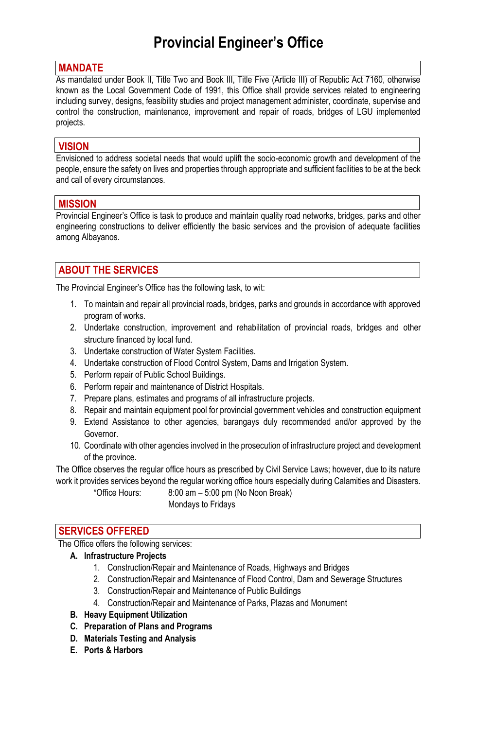#### **MANDATE**

As mandated under Book II, Title Two and Book III, Title Five (Article III) of Republic Act 7160, otherwise known as the Local Government Code of 1991, this Office shall provide services related to engineering including survey, designs, feasibility studies and project management administer, coordinate, supervise and control the construction, maintenance, improvement and repair of roads, bridges of LGU implemented projects.

#### **VISION**

Envisioned to address societal needs that would uplift the socio-economic growth and development of the people, ensure the safety on lives and properties through appropriate and sufficient facilities to be at the beck and call of every circumstances.

#### **MISSION**

Provincial Engineer's Office is task to produce and maintain quality road networks, bridges, parks and other engineering constructions to deliver efficiently the basic services and the provision of adequate facilities among Albayanos.

# **ABOUT THE SERVICES**

The Provincial Engineer's Office has the following task, to wit:

- 1. To maintain and repair all provincial roads, bridges, parks and grounds in accordance with approved program of works.
- 2. Undertake construction, improvement and rehabilitation of provincial roads, bridges and other structure financed by local fund.
- 3. Undertake construction of Water System Facilities.
- 4. Undertake construction of Flood Control System, Dams and Irrigation System.
- 5. Perform repair of Public School Buildings.
- 6. Perform repair and maintenance of District Hospitals.
- 7. Prepare plans, estimates and programs of all infrastructure projects.
- 8. Repair and maintain equipment pool for provincial government vehicles and construction equipment
- 9. Extend Assistance to other agencies, barangays duly recommended and/or approved by the Governor.
- 10. Coordinate with other agencies involved in the prosecution of infrastructure project and development of the province.

The Office observes the regular office hours as prescribed by Civil Service Laws; however, due to its nature work it provides services beyond the regular working office hours especially during Calamities and Disasters.

 $*$ Office Hours:  $8:00 \text{ am} - 5:00 \text{ pm}$  (No Noon Break) Mondays to Fridays

# **SERVICES OFFERED**

The Office offers the following services:

#### **A. Infrastructure Projects**

- 1. Construction/Repair and Maintenance of Roads, Highways and Bridges
- 2. Construction/Repair and Maintenance of Flood Control, Dam and Sewerage Structures
- 3. Construction/Repair and Maintenance of Public Buildings
- 4. Construction/Repair and Maintenance of Parks, Plazas and Monument
- **B. Heavy Equipment Utilization**
- **C. Preparation of Plans and Programs**
- **D. Materials Testing and Analysis**
- **E. Ports & Harbors**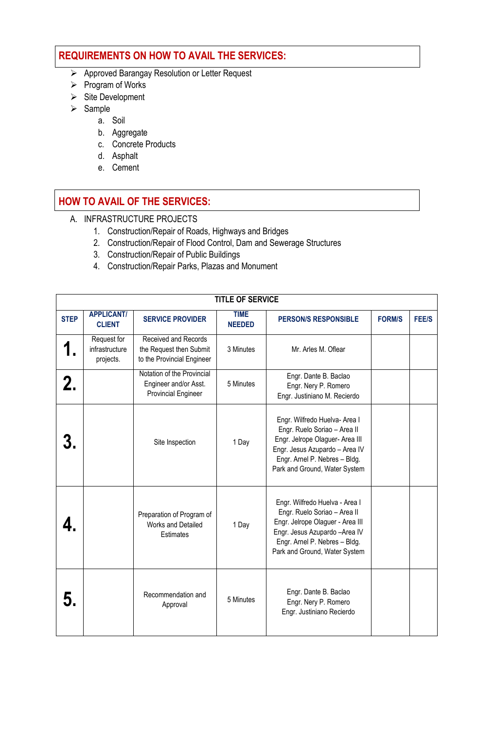# **REQUIREMENTS ON HOW TO AVAIL THE SERVICES:**

- Approved Barangay Resolution or Letter Request
- $\triangleright$  Program of Works
- $\triangleright$  Site Development
- $\triangleright$  Sample
	- a. Soil
	- b. Aggregate
	- c. Concrete Products
	- d. Asphalt
	- e. Cement

# **HOW TO AVAIL OF THE SERVICES:**

- A. INFRASTRUCTURE PROJECTS
	- 1. Construction/Repair of Roads, Highways and Bridges
	- 2. Construction/Repair of Flood Control, Dam and Sewerage Structures
	- 3. Construction/Repair of Public Buildings
	- 4. Construction/Repair Parks, Plazas and Monument

| <b>TITLE OF SERVICE</b> |                                            |                                                                                      |                                                                                                                                                                                                                 |                                                                                                                                                                                                      |               |              |  |  |
|-------------------------|--------------------------------------------|--------------------------------------------------------------------------------------|-----------------------------------------------------------------------------------------------------------------------------------------------------------------------------------------------------------------|------------------------------------------------------------------------------------------------------------------------------------------------------------------------------------------------------|---------------|--------------|--|--|
| <b>STEP</b>             | <b>APPLICANT/</b><br><b>CLIENT</b>         | <b>SERVICE PROVIDER</b>                                                              | <b>TIME</b><br><b>NEEDED</b>                                                                                                                                                                                    | <b>PERSON/S RESPONSIBLE</b>                                                                                                                                                                          | <b>FORM/S</b> | <b>FEE/S</b> |  |  |
|                         | Request for<br>infrastructure<br>projects. | <b>Received and Records</b><br>the Request then Submit<br>to the Provincial Engineer | 3 Minutes                                                                                                                                                                                                       | Mr. Arles M. Oflear                                                                                                                                                                                  |               |              |  |  |
| 2.                      |                                            | Notation of the Provincial<br>Engineer and/or Asst.<br><b>Provincial Engineer</b>    | 5 Minutes                                                                                                                                                                                                       | Engr. Dante B. Baclao<br>Engr. Nery P. Romero<br>Engr. Justiniano M. Recierdo                                                                                                                        |               |              |  |  |
|                         |                                            | Site Inspection                                                                      | 1 Day                                                                                                                                                                                                           | Engr. Wilfredo Huelva- Area I<br>Engr. Ruelo Soriao - Area II<br>Engr. Jelrope Olaguer- Area III<br>Engr. Jesus Azupardo - Area IV<br>Engr. Arnel P. Nebres - Bldg.<br>Park and Ground, Water System |               |              |  |  |
|                         |                                            | Preparation of Program of<br><b>Works and Detailed</b><br>Estimates                  | Engr. Wilfredo Huelva - Area I<br>Engr. Ruelo Soriao - Area II<br>Engr. Jelrope Olaguer - Area III<br>1 Day<br>Engr. Jesus Azupardo - Area IV<br>Engr. Arnel P. Nebres - Bldg.<br>Park and Ground, Water System |                                                                                                                                                                                                      |               |              |  |  |
|                         |                                            | Recommendation and<br>Approval                                                       | 5 Minutes                                                                                                                                                                                                       | Engr. Dante B. Baclao<br>Engr. Nery P. Romero<br>Engr. Justiniano Recierdo                                                                                                                           |               |              |  |  |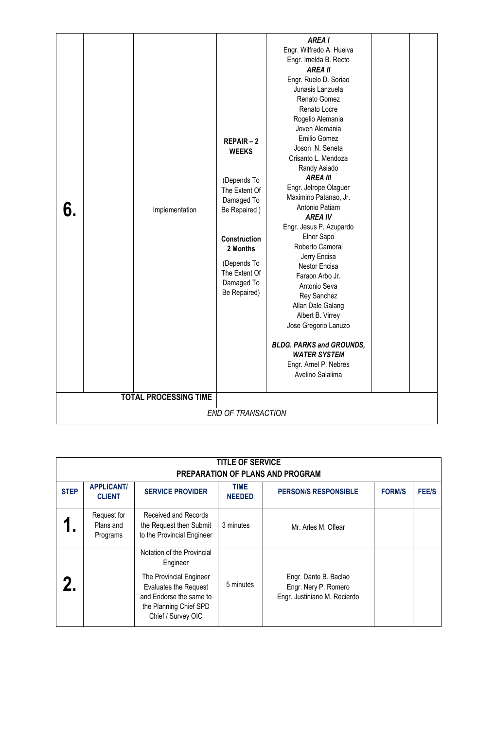| <b>TITLE OF SERVICE</b><br>PREPARATION OF PLANS AND PROGRAM |                                      |                                                                                                                                                                       |                       |                                                                               |               |              |  |  |
|-------------------------------------------------------------|--------------------------------------|-----------------------------------------------------------------------------------------------------------------------------------------------------------------------|-----------------------|-------------------------------------------------------------------------------|---------------|--------------|--|--|
| <b>STEP</b>                                                 | <b>APPLICANT/</b><br><b>CLIENT</b>   | <b>SERVICE PROVIDER</b>                                                                                                                                               | TIME<br><b>NEEDED</b> | <b>PERSON/S RESPONSIBLE</b>                                                   | <b>FORM/S</b> | <b>FEE/S</b> |  |  |
|                                                             | Request for<br>Plans and<br>Programs | Received and Records<br>the Request then Submit<br>to the Provincial Engineer                                                                                         | 3 minutes             | Mr. Arles M. Oflear                                                           |               |              |  |  |
|                                                             |                                      | Notation of the Provincial<br>Engineer<br>The Provincial Engineer<br>Evaluates the Request<br>and Endorse the same to<br>the Planning Chief SPD<br>Chief / Survey OIC | 5 minutes             | Engr. Dante B. Baclao<br>Engr. Nery P. Romero<br>Engr. Justiniano M. Recierdo |               |              |  |  |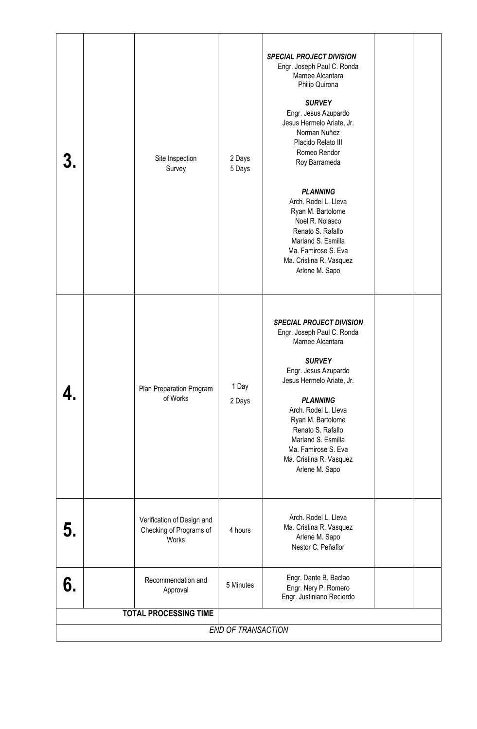|                           |  | Site Inspection<br>Survey                                      | 2 Days<br>5 Days | <b>SPECIAL PROJECT DIVISION</b><br>Engr. Joseph Paul C. Ronda<br>Marnee Alcantara<br>Philip Quirona<br><b>SURVEY</b><br>Engr. Jesus Azupardo<br>Jesus Hermelo Ariate, Jr.<br>Norman Nuñez<br>Placido Relato III<br>Romeo Rendor<br>Roy Barrameda<br><b>PLANNING</b><br>Arch. Rodel L. Lleva<br>Ryan M. Bartolome<br>Noel R. Nolasco<br>Renato S. Rafallo<br>Marland S. Esmilla<br>Ma. Famirose S. Eva<br>Ma. Cristina R. Vasquez<br>Arlene M. Sapo |  |  |  |
|---------------------------|--|----------------------------------------------------------------|------------------|----------------------------------------------------------------------------------------------------------------------------------------------------------------------------------------------------------------------------------------------------------------------------------------------------------------------------------------------------------------------------------------------------------------------------------------------------|--|--|--|
|                           |  | Plan Preparation Program<br>of Works                           | 1 Day<br>2 Days  | <b>SPECIAL PROJECT DIVISION</b><br>Engr. Joseph Paul C. Ronda<br>Marnee Alcantara<br><b>SURVEY</b><br>Engr. Jesus Azupardo<br>Jesus Hermelo Ariate, Jr.<br><b>PLANNING</b><br>Arch. Rodel L. Lleva<br>Ryan M. Bartolome<br>Renato S. Rafallo<br>Marland S. Esmilla<br>Ma. Famirose S. Eva<br>Ma. Cristina R. Vasquez<br>Arlene M. Sapo                                                                                                             |  |  |  |
| 5.                        |  | Verification of Design and<br>Checking of Programs of<br>Works | 4 hours          | Arch. Rodel L. Lleva<br>Ma. Cristina R. Vasquez<br>Arlene M. Sapo<br>Nestor C. Peñaflor                                                                                                                                                                                                                                                                                                                                                            |  |  |  |
| 6.                        |  | Recommendation and<br>Approval                                 | 5 Minutes        | Engr. Dante B. Baclao<br>Engr. Nery P. Romero<br>Engr. Justiniano Recierdo                                                                                                                                                                                                                                                                                                                                                                         |  |  |  |
|                           |  | <b>TOTAL PROCESSING TIME</b>                                   |                  |                                                                                                                                                                                                                                                                                                                                                                                                                                                    |  |  |  |
| <b>END OF TRANSACTION</b> |  |                                                                |                  |                                                                                                                                                                                                                                                                                                                                                                                                                                                    |  |  |  |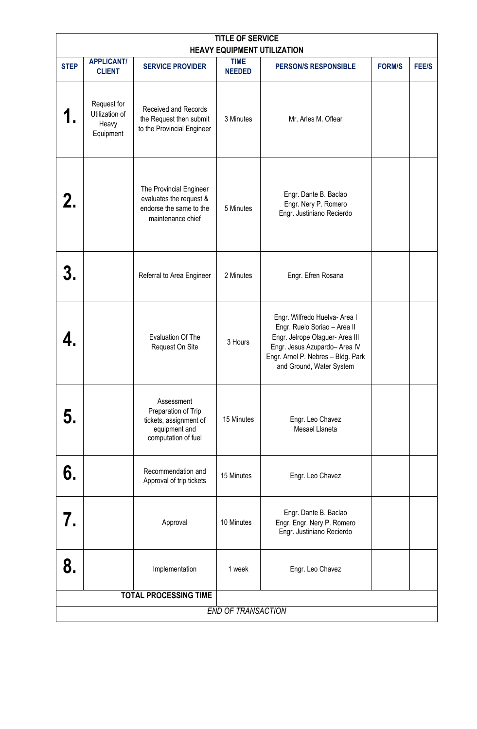| <b>TITLE OF SERVICE</b><br><b>HEAVY EQUIPMENT UTILIZATION</b> |                                                     |                                                                                                     |                              |                                                                                                                                                                                                     |               |              |  |  |
|---------------------------------------------------------------|-----------------------------------------------------|-----------------------------------------------------------------------------------------------------|------------------------------|-----------------------------------------------------------------------------------------------------------------------------------------------------------------------------------------------------|---------------|--------------|--|--|
| <b>STEP</b>                                                   | <b>APPLICANT/</b><br><b>CLIENT</b>                  | <b>SERVICE PROVIDER</b>                                                                             | <b>TIME</b><br><b>NEEDED</b> | <b>PERSON/S RESPONSIBLE</b>                                                                                                                                                                         | <b>FORM/S</b> | <b>FEE/S</b> |  |  |
|                                                               | Request for<br>Utilization of<br>Heavy<br>Equipment | Received and Records<br>the Request then submit<br>to the Provincial Engineer                       | 3 Minutes                    | Mr. Arles M. Oflear                                                                                                                                                                                 |               |              |  |  |
| 2.                                                            |                                                     | The Provincial Engineer<br>evaluates the request &<br>endorse the same to the<br>maintenance chief  | 5 Minutes                    | Engr. Dante B. Baclao<br>Engr. Nery P. Romero<br>Engr. Justiniano Recierdo                                                                                                                          |               |              |  |  |
|                                                               |                                                     | Referral to Area Engineer                                                                           | 2 Minutes                    | Engr. Efren Rosana                                                                                                                                                                                  |               |              |  |  |
|                                                               |                                                     | Evaluation Of The<br>Request On Site                                                                | 3 Hours                      | Engr. Wilfredo Huelva- Area I<br>Engr. Ruelo Soriao - Area II<br>Engr. Jelrope Olaguer- Area III<br>Engr. Jesus Azupardo- Area IV<br>Engr. Arnel P. Nebres - Bldg. Park<br>and Ground, Water System |               |              |  |  |
| 5.                                                            |                                                     | Assessment<br>Preparation of Trip<br>tickets, assignment of<br>equipment and<br>computation of fuel | 15 Minutes                   | Engr. Leo Chavez<br>Mesael Llaneta                                                                                                                                                                  |               |              |  |  |
| 6.                                                            |                                                     | Recommendation and<br>Approval of trip tickets                                                      | 15 Minutes                   | Engr. Leo Chavez                                                                                                                                                                                    |               |              |  |  |
| 7.                                                            |                                                     | Approval                                                                                            | 10 Minutes                   | Engr. Dante B. Baclao<br>Engr. Engr. Nery P. Romero<br>Engr. Justiniano Recierdo                                                                                                                    |               |              |  |  |
| 8.                                                            |                                                     | Implementation                                                                                      | 1 week                       | Engr. Leo Chavez                                                                                                                                                                                    |               |              |  |  |
|                                                               |                                                     | <b>TOTAL PROCESSING TIME</b>                                                                        |                              |                                                                                                                                                                                                     |               |              |  |  |
| <b>END OF TRANSACTION</b>                                     |                                                     |                                                                                                     |                              |                                                                                                                                                                                                     |               |              |  |  |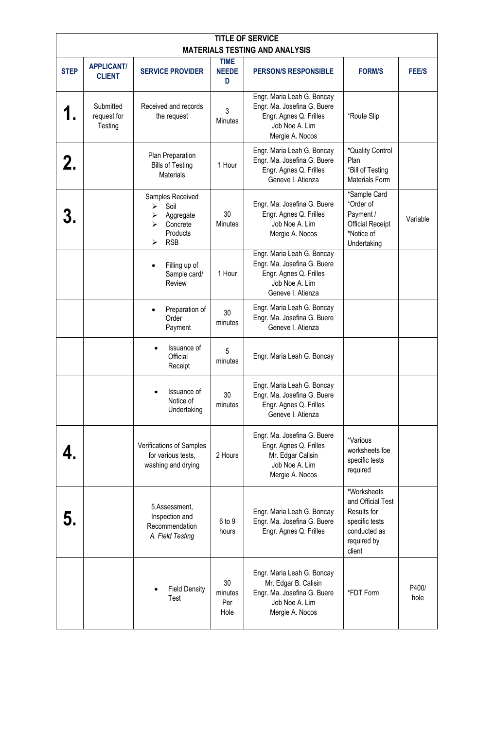| <b>TITLE OF SERVICE</b>                              |                                     |                                                                                            |                              |                                                                                                                            |                                                                                                            |               |  |  |
|------------------------------------------------------|-------------------------------------|--------------------------------------------------------------------------------------------|------------------------------|----------------------------------------------------------------------------------------------------------------------------|------------------------------------------------------------------------------------------------------------|---------------|--|--|
| <b>MATERIALS TESTING AND ANALYSIS</b><br><b>TIME</b> |                                     |                                                                                            |                              |                                                                                                                            |                                                                                                            |               |  |  |
| <b>STEP</b>                                          | <b>APPLICANT/</b><br><b>CLIENT</b>  | <b>SERVICE PROVIDER</b>                                                                    | <b>NEEDE</b><br>D            | <b>PERSON/S RESPONSIBLE</b>                                                                                                | <b>FORM/S</b>                                                                                              | <b>FEE/S</b>  |  |  |
|                                                      | Submitted<br>request for<br>Testing | Received and records<br>the request                                                        | 3<br><b>Minutes</b>          | Engr. Maria Leah G. Boncay<br>Engr. Ma. Josefina G. Buere<br>Engr. Agnes Q. Frilles<br>Job Noe A. Lim<br>Mergie A. Nocos   | *Route Slip                                                                                                |               |  |  |
|                                                      |                                     | Plan Preparation<br><b>Bills of Testing</b><br><b>Materials</b>                            | 1 Hour                       | Engr. Maria Leah G. Boncay<br>Engr. Ma. Josefina G. Buere<br>Engr. Agnes Q. Frilles<br>Geneve I. Atienza                   | *Quality Control<br>Plan<br>*Bill of Testing<br>Materials Form                                             |               |  |  |
|                                                      |                                     | Samples Received<br>Soil<br>➤<br>Aggregate<br>➤<br>Concrete<br>Products<br><b>RSB</b><br>⋗ | 30<br><b>Minutes</b>         | Engr. Ma. Josefina G. Buere<br>Engr. Agnes Q. Frilles<br>Job Noe A. Lim<br>Mergie A. Nocos                                 | *Sample Card<br>*Order of<br>Payment /<br><b>Official Receipt</b><br>*Notice of<br>Undertaking             | Variable      |  |  |
|                                                      |                                     | Filling up of<br>Sample card/<br>Review                                                    | 1 Hour                       | Engr. Maria Leah G. Boncay<br>Engr. Ma. Josefina G. Buere<br>Engr. Agnes Q. Frilles<br>Job Noe A. Lim<br>Geneve I. Atienza |                                                                                                            |               |  |  |
|                                                      |                                     | Preparation of<br>Order<br>Payment                                                         | 30<br>minutes                | Engr. Maria Leah G. Boncay<br>Engr. Ma. Josefina G. Buere<br>Geneve I. Atienza                                             |                                                                                                            |               |  |  |
|                                                      |                                     | Issuance of<br>Official<br>Receipt                                                         | 5<br>minutes                 | Engr. Maria Leah G. Boncay                                                                                                 |                                                                                                            |               |  |  |
|                                                      |                                     | Issuance of<br>Notice of<br>Undertaking                                                    | 30<br>minutes                | Engr. Maria Leah G. Boncay<br>Engr. Ma. Josefina G. Buere<br>Engr. Agnes Q. Frilles<br>Geneve I. Atienza                   |                                                                                                            |               |  |  |
|                                                      |                                     | Verifications of Samples<br>for various tests,<br>washing and drying                       | 2 Hours                      | Engr. Ma. Josefina G. Buere<br>Engr. Agnes Q. Frilles<br>Mr. Edgar Calisin<br>Job Noe A. Lim<br>Mergie A. Nocos            | *Various<br>worksheets foe<br>specific tests<br>required                                                   |               |  |  |
|                                                      |                                     | 5.Assessment,<br>Inspection and<br>Recommendation<br>A. Field Testing                      | 6 to 9<br>hours              | Engr. Maria Leah G. Boncay<br>Engr. Ma. Josefina G. Buere<br>Engr. Agnes Q. Frilles                                        | *Worksheets<br>and Official Test<br>Results for<br>specific tests<br>conducted as<br>required by<br>client |               |  |  |
|                                                      |                                     | <b>Field Density</b><br>Test                                                               | 30<br>minutes<br>Per<br>Hole | Engr. Maria Leah G. Boncay<br>Mr. Edgar B. Calisin<br>Engr. Ma. Josefina G. Buere<br>Job Noe A. Lim<br>Mergie A. Nocos     | *FDT Form                                                                                                  | P400/<br>hole |  |  |